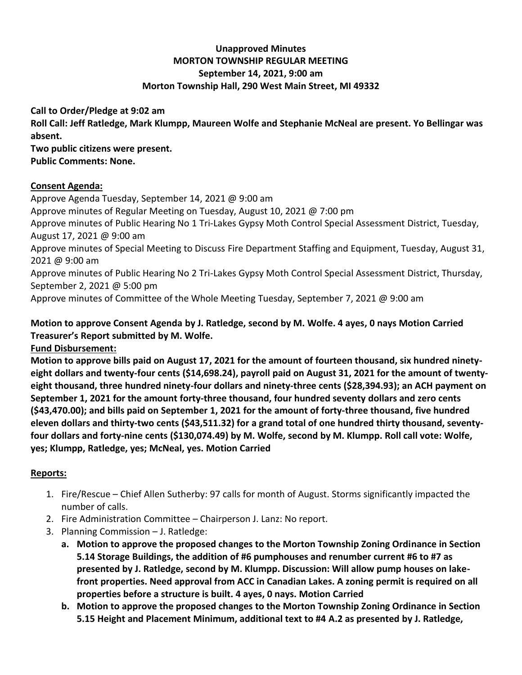# **Unapproved Minutes MORTON TOWNSHIP REGULAR MEETING September 14, 2021, 9:00 am Morton Township Hall, 290 West Main Street, MI 49332**

**Call to Order/Pledge at 9:02 am Roll Call: Jeff Ratledge, Mark Klumpp, Maureen Wolfe and Stephanie McNeal are present. Yo Bellingar was absent. Two public citizens were present. Public Comments: None.**

#### **Consent Agenda:**

Approve Agenda Tuesday, September 14, 2021 @ 9:00 am

Approve minutes of Regular Meeting on Tuesday, August 10, 2021 @ 7:00 pm

Approve minutes of Public Hearing No 1 Tri-Lakes Gypsy Moth Control Special Assessment District, Tuesday, August 17, 2021 @ 9:00 am

Approve minutes of Special Meeting to Discuss Fire Department Staffing and Equipment, Tuesday, August 31, 2021 @ 9:00 am

Approve minutes of Public Hearing No 2 Tri-Lakes Gypsy Moth Control Special Assessment District, Thursday, September 2, 2021 @ 5:00 pm

Approve minutes of Committee of the Whole Meeting Tuesday, September 7, 2021 @ 9:00 am

# **Motion to approve Consent Agenda by J. Ratledge, second by M. Wolfe. 4 ayes, 0 nays Motion Carried Treasurer's Report submitted by M. Wolfe.**

### **Fund Disbursement:**

**Motion to approve bills paid on August 17, 2021 for the amount of fourteen thousand, six hundred ninetyeight dollars and twenty-four cents (\$14,698.24), payroll paid on August 31, 2021 for the amount of twentyeight thousand, three hundred ninety-four dollars and ninety-three cents (\$28,394.93); an ACH payment on September 1, 2021 for the amount forty-three thousand, four hundred seventy dollars and zero cents (\$43,470.00); and bills paid on September 1, 2021 for the amount of forty-three thousand, five hundred eleven dollars and thirty-two cents (\$43,511.32) for a grand total of one hundred thirty thousand, seventyfour dollars and forty-nine cents (\$130,074.49) by M. Wolfe, second by M. Klumpp. Roll call vote: Wolfe, yes; Klumpp, Ratledge, yes; McNeal, yes. Motion Carried**

### **Reports:**

- 1. Fire/Rescue Chief Allen Sutherby: 97 calls for month of August. Storms significantly impacted the number of calls.
- 2. Fire Administration Committee Chairperson J. Lanz: No report.
- 3. Planning Commission J. Ratledge:
	- **a. Motion to approve the proposed changes to the Morton Township Zoning Ordinance in Section 5.14 Storage Buildings, the addition of #6 pumphouses and renumber current #6 to #7 as presented by J. Ratledge, second by M. Klumpp. Discussion: Will allow pump houses on lakefront properties. Need approval from ACC in Canadian Lakes. A zoning permit is required on all properties before a structure is built. 4 ayes, 0 nays. Motion Carried**
	- **b. Motion to approve the proposed changes to the Morton Township Zoning Ordinance in Section 5.15 Height and Placement Minimum, additional text to #4 A.2 as presented by J. Ratledge,**